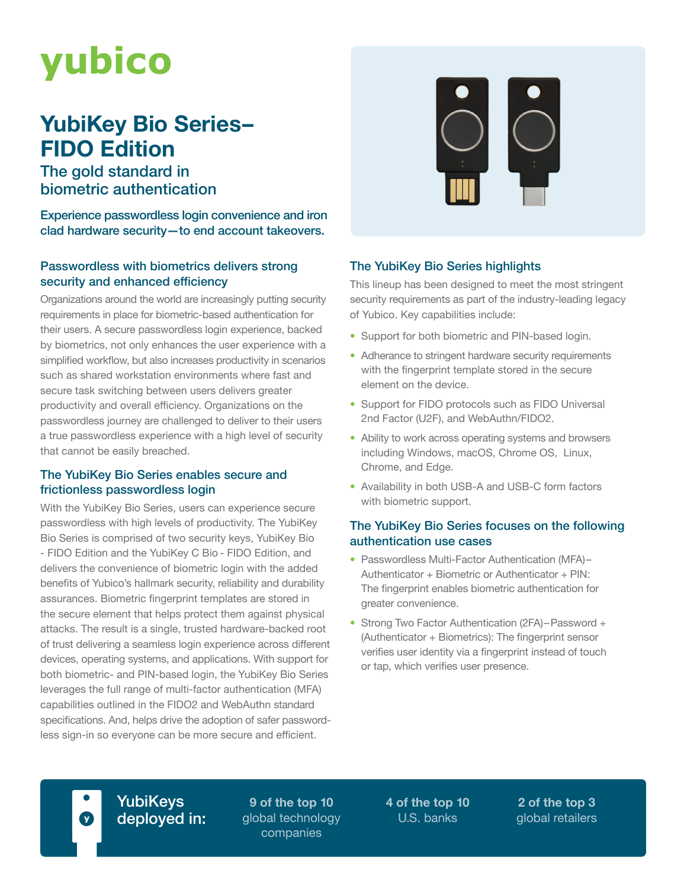# yubico

## **YubiKey Bio Series– FIDO Edition**

The gold standard in biometric authentication

Experience passwordless login convenience and iron clad hardware security—to end account takeovers.

### Passwordless with biometrics delivers strong security and enhanced efficiency

Organizations around the world are increasingly putting security requirements in place for biometric-based authentication for their users. A secure passwordless login experience, backed by biometrics, not only enhances the user experience with a simplified workflow, but also increases productivity in scenarios such as shared workstation environments where fast and secure task switching between users delivers greater productivity and overall efficiency. Organizations on the passwordless journey are challenged to deliver to their users a true passwordless experience with a high level of security that cannot be easily breached.

### The YubiKey Bio Series enables secure and frictionless passwordless login

With the YubiKey Bio Series, users can experience secure passwordless with high levels of productivity. The YubiKey Bio Series is comprised of two security keys, YubiKey Bio - FIDO Edition and the YubiKey C Bio - FIDO Edition, and delivers the convenience of biometric login with the added benefits of Yubico's hallmark security, reliability and durability assurances. Biometric fingerprint templates are stored in the secure element that helps protect them against physical attacks. The result is a single, trusted hardware-backed root of trust delivering a seamless login experience across different devices, operating systems, and applications. With support for both biometric- and PIN-based login, the YubiKey Bio Series leverages the full range of multi-factor authentication (MFA) capabilities outlined in the FIDO2 and WebAuthn standard specifications. And, helps drive the adoption of safer passwordless sign-in so everyone can be more secure and efficient.



### The YubiKey Bio Series highlights

This lineup has been designed to meet the most stringent security requirements as part of the industry-leading legacy of Yubico. Key capabilities include:

- Support for both biometric and PIN-based login.
- Adherance to stringent hardware security requirements with the fingerprint template stored in the secure element on the device.
- Support for FIDO protocols such as FIDO Universal 2nd Factor (U2F), and WebAuthn/FIDO2.
- Ability to work across operating systems and browsers including Windows, macOS, Chrome OS, Linux, Chrome, and Edge.
- Availability in both USB-A and USB-C form factors with biometric support.

### The YubiKey Bio Series focuses on the following authentication use cases

- Passwordless Multi-Factor Authentication (MFA)– Authenticator + Biometric or Authenticator + PIN: The fingerprint enables biometric authentication for greater convenience.
- Strong Two Factor Authentication (2FA)–Password + (Authenticator + Biometrics): The fingerprint sensor verifies user identity via a fingerprint instead of touch or tap, which verifies user presence.

YubiKeys deployed in:

**9 of the top 10** global technology companies

**4 of the top 10** U.S. banks

**2 of the top 3** global retailers